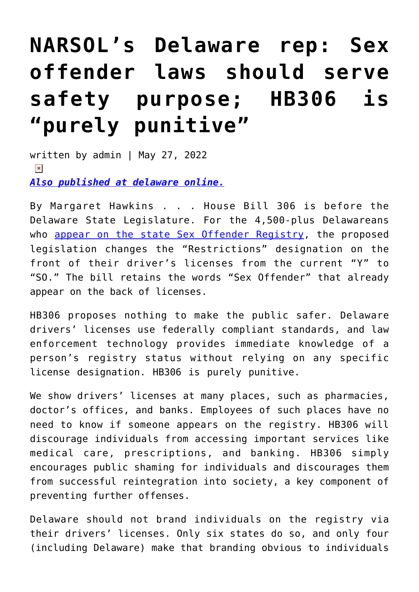## **[NARSOL's Delaware rep: Sex](https://narsol.org/2022/05/narsols-delaware-rep-sex-offender-laws-should-serve-safety-purpose-hb306-is-purely-punitive/) [offender laws should serve](https://narsol.org/2022/05/narsols-delaware-rep-sex-offender-laws-should-serve-safety-purpose-hb306-is-purely-punitive/) [safety purpose; HB306 is](https://narsol.org/2022/05/narsols-delaware-rep-sex-offender-laws-should-serve-safety-purpose-hb306-is-purely-punitive/) ["purely punitive"](https://narsol.org/2022/05/narsols-delaware-rep-sex-offender-laws-should-serve-safety-purpose-hb306-is-purely-punitive/)**

written by admin | May 27, 2022  $\pmb{\times}$ *[Also published at delaware online.](https://www.delawareonline.com/story/opinion/2022/05/27/proposed-sex-offender-registry-legislation-doesnt-make-state-safer/9930898002/)*

By Margaret Hawkins . . . House Bill 306 is before the Delaware State Legislature. For the 4,500-plus Delawareans who [appear on the state Sex Offender Registry](http://firststateupdate.com/2019/06/study-claims-delaware-ranks-3-among-states-with-most-sex-offenders-per-capita/), the proposed legislation changes the "Restrictions" designation on the front of their driver's licenses from the current "Y" to "SO." The bill retains the words "Sex Offender" that already appear on the back of licenses.

HB306 proposes nothing to make the public safer. Delaware drivers' licenses use federally compliant standards, and law enforcement technology provides immediate knowledge of a person's registry status without relying on any specific license designation. HB306 is purely punitive.

We show drivers' licenses at many places, such as pharmacies, doctor's offices, and banks. Employees of such places have no need to know if someone appears on the registry. HB306 will discourage individuals from accessing important services like medical care, prescriptions, and banking. HB306 simply encourages public shaming for individuals and discourages them from successful reintegration into society, a key component of preventing further offenses.

Delaware should not brand individuals on the registry via their drivers' licenses. Only six states do so, and only four (including Delaware) make that branding obvious to individuals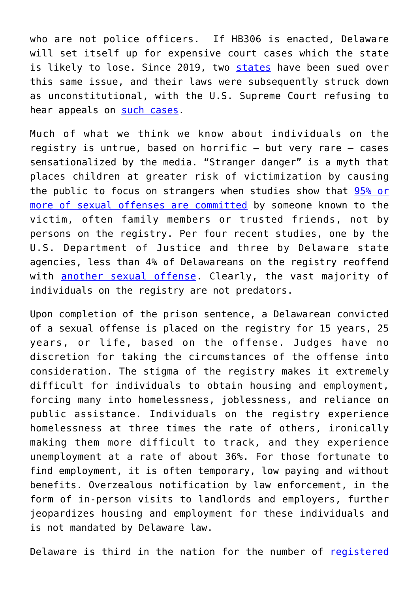who are not police officers. If HB306 is enacted, Delaware will set itself up for expensive court cases which the state is likely to lose. Since 2019, two [states](https://narsol.org/2019/02/alabama-court-upholds-first-amendment-rights-for-registered-sexual-offenders/) have been sued over this same issue, and their laws were subsequently struck down as unconstitutional, with the U.S. Supreme Court refusing to hear appeals on [such cases.](https://reason.com/2021/10/04/supreme-court-declines-to-hear-louisianas-defense-of-a-law-that-stamped-sex-offender-on-drivers-licenses/)

Much of what we think we know about individuals on the registry is untrue, based on horrific – but very rare – cases sensationalized by the media. "Stranger danger" is a myth that places children at greater risk of victimization by causing the public to focus on strangers when studies show that [95% or](https://narsol.org/wp-content/uploads/2019/07/who_are_the_offenders-jpg.jpg) [more of sexual offenses are committed](https://narsol.org/wp-content/uploads/2019/07/who_are_the_offenders-jpg.jpg) by someone known to the victim, often family members or trusted friends, not by persons on the registry. Per four recent studies, one by the U.S. Department of Justice and three by Delaware state agencies, less than 4% of Delawareans on the registry reoffend with [another sexual offense](https://cjc.delaware.gov/wp-content/uploads/sites/61/2017/06/SO_report_2008-min.pdf). Clearly, the vast majority of individuals on the registry are not predators.

Upon completion of the prison sentence, a Delawarean convicted of a sexual offense is placed on the registry for 15 years, 25 years, or life, based on the offense. Judges have no discretion for taking the circumstances of the offense into consideration. The stigma of the registry makes it extremely difficult for individuals to obtain housing and employment, forcing many into homelessness, joblessness, and reliance on public assistance. Individuals on the registry experience homelessness at three times the rate of others, ironically making them more difficult to track, and they experience unemployment at a rate of about 36%. For those fortunate to find employment, it is often temporary, low paying and without benefits. Overzealous notification by law enforcement, in the form of in-person visits to landlords and employers, further jeopardizes housing and employment for these individuals and is not mandated by Delaware law.

Delaware is third in the nation for the number of [registered](http://firststateupdate.com/2019/06/study-claims-delaware-ranks-3-among-states-with-most-sex-offenders-per-capita/)